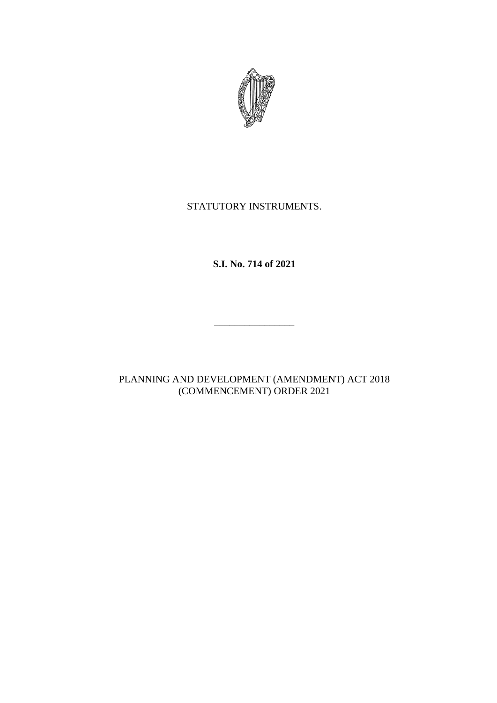

## STATUTORY INSTRUMENTS.

**S.I. No. 714 of 2021**

\_\_\_\_\_\_\_\_\_\_\_\_\_\_\_\_

PLANNING AND DEVELOPMENT (AMENDMENT) ACT 2018 (COMMENCEMENT) ORDER 2021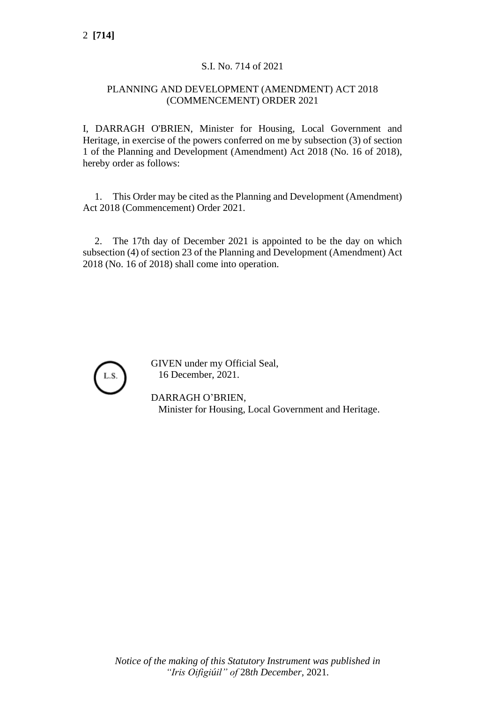## S.I. No. 714 of 2021

## PLANNING AND DEVELOPMENT (AMENDMENT) ACT 2018 (COMMENCEMENT) ORDER 2021

I, DARRAGH O'BRIEN, Minister for Housing, Local Government and Heritage, in exercise of the powers conferred on me by subsection (3) of section 1 of the Planning and Development (Amendment) Act 2018 (No. 16 of 2018), hereby order as follows:

1. This Order may be cited as the Planning and Development (Amendment) Act 2018 (Commencement) Order 2021.

2. The 17th day of December 2021 is appointed to be the day on which subsection (4) of section 23 of the Planning and Development (Amendment) Act 2018 (No. 16 of 2018) shall come into operation.



GIVEN under my Official Seal, 16 December, 2021.

DARRAGH O'BRIEN, Minister for Housing, Local Government and Heritage.